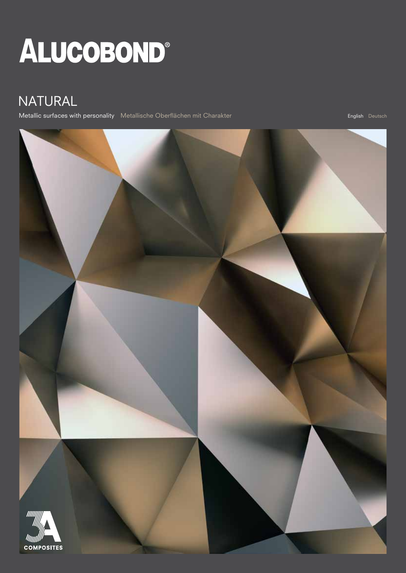# ALUCOBOND®

### NATURAL

Metallic surfaces with personality Metallische Oberflächen mit Charakter English Deutsch English Deutsch

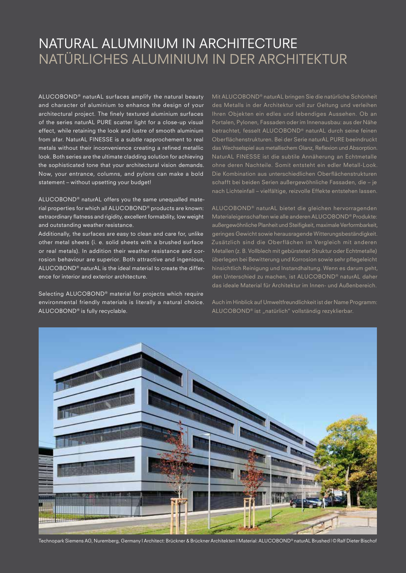### NATURAL ALUMINIUM IN ARCHITECTURE NATÜRLICHES ALUMINIUM IN DER ARCHITEKTUR

ALUCOBOND® naturAL surfaces amplify the natural beauty and character of aluminium to enhance the design of your architectural project. The finely textured aluminium surfaces of the series naturAL PURE scatter light for a close-up visual effect, while retaining the look and lustre of smooth aluminium from afar. NaturAL FINESSE is a subtle rapprochement to real metals without their inconvenience creating a refined metallic look. Both series are the ultimate cladding solution for achieving the sophisticated tone that your architectural vision demands. Now, your entrance, columns, and pylons can make a bold statement – without upsetting your budget!

ALUCOBOND® naturAL offers you the same unequalled material properties for which all ALUCOBOND® products are known: extraordinary flatness and rigidity, excellent formability, low weight and outstanding weather resistance.

Additionally, the surfaces are easy to clean and care for, unlike other metal sheets (i. e. solid sheets with a brushed surface or real metals). In addition their weather resistance and corrosion behaviour are superior. Both attractive and ingenious, ALUCOBOND® naturAL is the ideal material to create the difference for interior and exterior architecture.

Selecting ALUCOBOND® material for projects which require environmental friendly materials is literally a natural choice. ALUCOBOND® is fully recyclable.

Mit ALUCOBOND® naturAL bringen Sie die natürliche Schönheit des Metalls in der Architektur voll zur Geltung und verleihen Ihren Objekten ein edles und lebendiges Aussehen. Ob an Portalen, Pylonen, Fassaden oder im Innenausbau: aus der Nähe betrachtet, fesselt ALUCOBOND® naturAL durch seine feinen Oberflächenstrukturen. Bei der Serie naturAL PURE beeindruckt das Wechselspiel aus metallischem Glanz, Reflexion und Absorption. NaturAL FINESSE ist die subtile Annäherung an Echtmetalle ohne deren Nachteile. Somit entsteht ein edler Metall-Look. Die Kombination aus unterschiedlichen Oberflächenstrukturen schafft bei beiden Serien außergewöhnliche Fassaden, die – je nach Lichteinfall – vielfältige, reizvolle Effekte entstehen lassen.

ALUCOBOND<sup>®</sup> naturAL bietet die gleichen hervorragenden Materialeigenschaften wie alle anderen ALUCOBOND® Produkte: außergewöhnliche Planheit und Steifigkeit, maximale Verformbarkeit, geringes Gewicht sowie herausragende Witterungsbeständigkeit. Zusätzlich sind die Oberflächen im Vergleich mit anderen Metallen (z. B. Vollblech mit gebürsteter Struktur oder Echtmetalle) überlegen bei Bewitterung und Korrosion sowie sehr pflegeleicht hinsichtlich Reinigung und Instandhaltung. Wenn es darum geht, den Unterschied zu machen, ist ALUCOBOND® naturAL daher das ideale Material für Architektur im Innen- und Außenbereich.

Auch im Hinblick auf Umweltfreundlichkeit ist der Name Programm: ALUCOBOND® ist "natürlich" vollständig rezyklierbar.



Technopark Siemens AG, Nuremberg, Germany I Architect: Brückner & Brückner Architekten I Material: ALUCOBOND® naturAL Brushed | © Ralf Dieter Bischof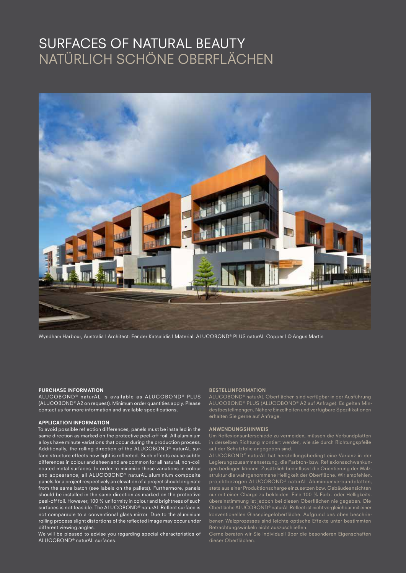### SURFACES OF NATURAL BEAUTY NATÜRLICH SCHÖNE OBERFLÄCHEN



Wyndham Harbour, Australia I Architect: Fender Katsalidis I Material: ALUCOBOND® PLUS naturAL Copper | © Angus Martin

#### PURCHASE INFORMATION

ALUCOBOND<sup>®</sup> naturAL is available as ALUCOBOND® PLUS (ALUCOBOND® A2 on request). Minimum order quantities apply. Please contact us for more information and available specifications.

### APPLICATION INFORMATION

To avoid possible reflection differences, panels must be installed in the same direction as marked on the protective peel-off foil. All aluminium alloys have minute variations that occur during the production process. Additionally, the rolling direction of the ALUCOBOND® naturAL surface structure effects how light is reflected. Such effects cause subtle differences in colour and sheen and are common for all natural, non-coil coated metal surfaces. In order to minimize these variations in colour and appearance, all ALUCOBOND<sup>®</sup> naturAL aluminium composite panels for a project respectively an elevation of a project should originate from the same batch (see labels on the pallets). Furthermore, panels should be installed in the same direction as marked on the protective peel-off foil. However, 100 % uniformity in colour and brightness of such surfaces is not feasible. The ALUCOBOND® naturAL Reflect surface is not comparable to a conventional glass mirror. Due to the aluminium rolling process slight distortions of the reflected image may occur under different viewing angles.

We will be pleased to advise you regarding special characteristics of ALUCOBOND® naturAL surfaces.

#### BESTELLINFORMATION

ALUCOBOND® naturAL Oberflächen sind verfügbar in der Ausführung ALUCOBOND® PLUS (ALUCOBOND® A2 auf Anfrage). Es gelten Mindestbestellmengen. Nähere Einzelheiten und verfügbare Spezifikationen erhalten Sie gerne auf Anfrage.

#### ANWENDUNGSHINWEIS

in derselben Richtung montiert werden, wie sie durch Richtungspfeile auf der Schutzfolie angegeben sind.

ALUCOBOND<sup>®</sup> naturAL hat herstellungsbedingt eine Varianz in der Legierungszusammensetzung, die Farbton- bzw. Reflexionsschwankungen bedingen können. Zusätzlich beeinflusst die Orientierung der Walzstruktur die wahrgenommene Helligkeit der Oberfläche. Wir empfehlen, projektbezogen ALUCOBOND® naturAL Aluminiumverbundplatten, stets aus einer Produktionscharge einzusetzen bzw. Gebäudeansichten nur mit einer Charge zu bekleiden. Eine 100 % Farb- oder Helligkeits-Oberfläche ALUCOBOND® naturAL Reflect ist nicht vergleichbar mit einer konventionellen Glasspiegeloberfläche. Aufgrund des oben beschriebenen Walzprozesses sind leichte optische Effekte unter bestimmten Betrachtungswinkeln nicht auszuschließen.

Gerne beraten wir Sie individuell über die besonderen Eigenschaften dieser Oberflächen.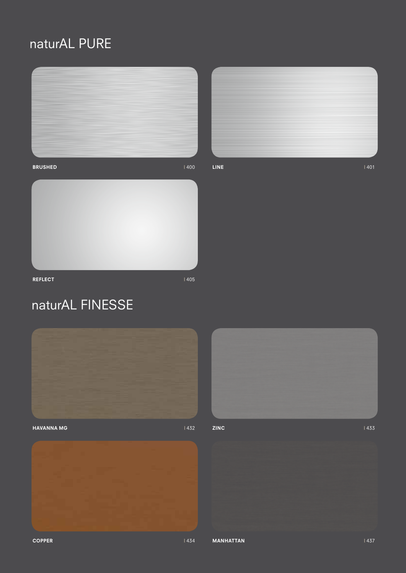## naturAL PURE



 $LINE$  and  $\sim$  1401



**REFLECT** 1405

## naturAL FINESSE





 $ZINC$  | 433

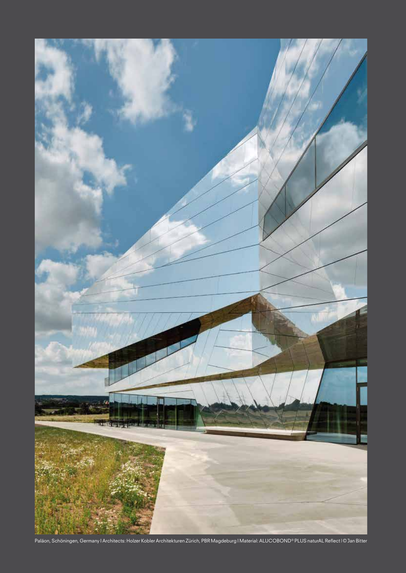

Paläon, Schöningen, Germany I Architects: Holzer Kobler Architekturen Zürich, PBR Magdeburg I Material: ALUCOBOND® PLUS naturAL Reflect | © Jan Bitter